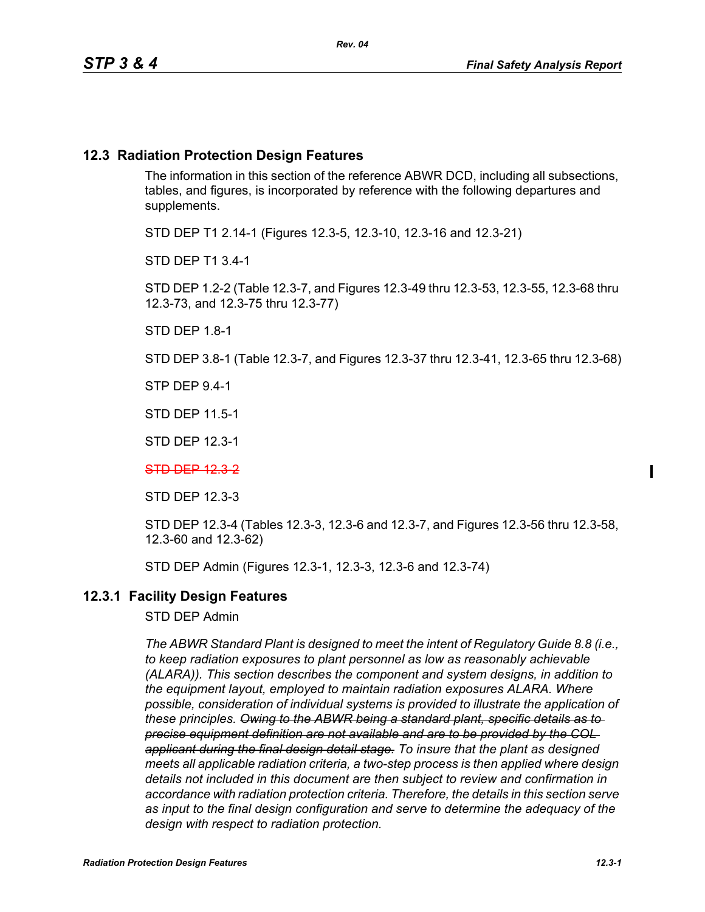## **12.3 Radiation Protection Design Features**

The information in this section of the reference ABWR DCD, including all subsections, tables, and figures, is incorporated by reference with the following departures and supplements.

STD DEP T1 2.14-1 (Figures 12.3-5, 12.3-10, 12.3-16 and 12.3-21)

STD DEP T1 3.4-1

STD DEP 1.2-2 (Table 12.3-7, and Figures 12.3-49 thru 12.3-53, 12.3-55, 12.3-68 thru 12.3-73, and 12.3-75 thru 12.3-77)

STD DEP 1.8-1

STD DEP 3.8-1 (Table 12.3-7, and Figures 12.3-37 thru 12.3-41, 12.3-65 thru 12.3-68)

STP DEP 9.4-1

STD DEP 11.5-1

STD DEP 12.3-1

STD DEP 12.3-2

STD DEP 12.3-3

STD DEP 12.3-4 (Tables 12.3-3, 12.3-6 and 12.3-7, and Figures 12.3-56 thru 12.3-58, 12.3-60 and 12.3-62)

STD DEP Admin (Figures 12.3-1, 12.3-3, 12.3-6 and 12.3-74)

## **12.3.1 Facility Design Features**

STD DEP Admin

*The ABWR Standard Plant is designed to meet the intent of Regulatory Guide 8.8 (i.e., to keep radiation exposures to plant personnel as low as reasonably achievable (ALARA)). This section describes the component and system designs, in addition to the equipment layout, employed to maintain radiation exposures ALARA. Where possible, consideration of individual systems is provided to illustrate the application of these principles. Owing to the ABWR being a standard plant, specific details as to precise equipment definition are not available and are to be provided by the COL applicant during the final design detail stage. To insure that the plant as designed meets all applicable radiation criteria, a two-step process is then applied where design details not included in this document are then subject to review and confirmation in accordance with radiation protection criteria. Therefore, the details in this section serve as input to the final design configuration and serve to determine the adequacy of the design with respect to radiation protection.*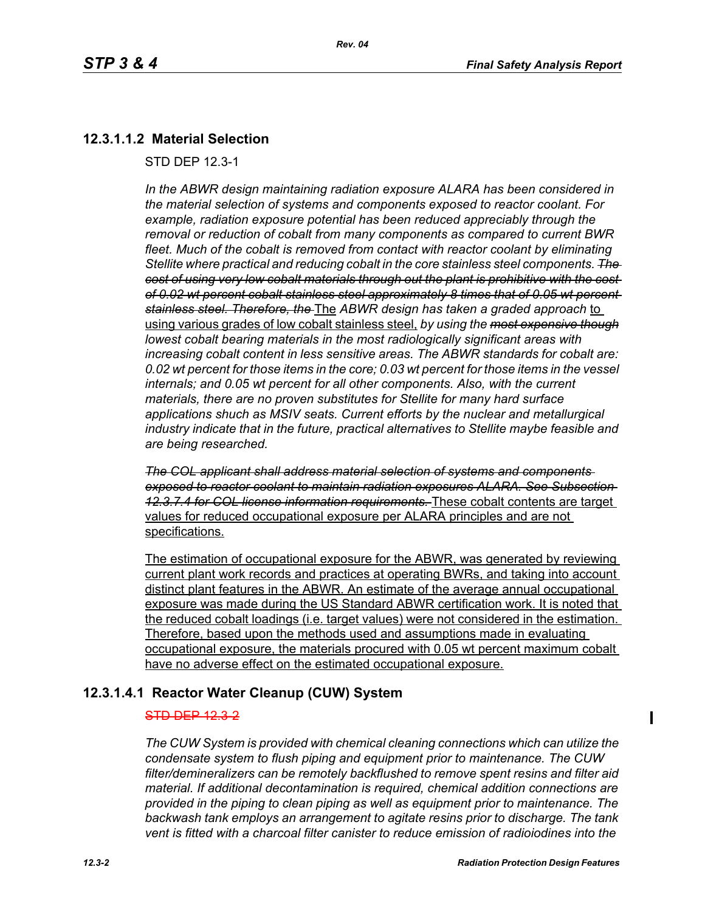# **12.3.1.1.2 Material Selection**

STD DEP 12.3-1

*In the ABWR design maintaining radiation exposure ALARA has been considered in the material selection of systems and components exposed to reactor coolant. For example, radiation exposure potential has been reduced appreciably through the removal or reduction of cobalt from many components as compared to current BWR fleet. Much of the cobalt is removed from contact with reactor coolant by eliminating Stellite where practical and reducing cobalt in the core stainless steel components. The cost of using very low cobalt materials through out the plant is prohibitive with the cost of 0.02 wt percent cobalt stainless steel approximately 8 times that of 0.05 wt percent stainless steel. Therefore, the* The *ABWR design has taken a graded approach* to using various grades of low cobalt stainless steel, *by using the most expensive though lowest cobalt bearing materials in the most radiologically significant areas with increasing cobalt content in less sensitive areas. The ABWR standards for cobalt are: 0.02 wt percent for those items in the core; 0.03 wt percent for those items in the vessel internals; and 0.05 wt percent for all other components. Also, with the current materials, there are no proven substitutes for Stellite for many hard surface applications shuch as MSIV seats. Current efforts by the nuclear and metallurgical industry indicate that in the future, practical alternatives to Stellite maybe feasible and are being researched.*

*The COL applicant shall address material selection of systems and components exposed to reactor coolant to maintain radiation exposures ALARA. See Subsection 12.3.7.4 for COL license information requirements.* These cobalt contents are target values for reduced occupational exposure per ALARA principles and are not specifications.

The estimation of occupational exposure for the ABWR, was generated by reviewing current plant work records and practices at operating BWRs, and taking into account distinct plant features in the ABWR. An estimate of the average annual occupational exposure was made during the US Standard ABWR certification work. It is noted that the reduced cobalt loadings (i.e. target values) were not considered in the estimation. Therefore, based upon the methods used and assumptions made in evaluating occupational exposure, the materials procured with 0.05 wt percent maximum cobalt have no adverse effect on the estimated occupational exposure.

# **12.3.1.4.1 Reactor Water Cleanup (CUW) System**

#### STD DEP 12.3-2

*The CUW System is provided with chemical cleaning connections which can utilize the condensate system to flush piping and equipment prior to maintenance. The CUW filter/demineralizers can be remotely backflushed to remove spent resins and filter aid material. If additional decontamination is required, chemical addition connections are provided in the piping to clean piping as well as equipment prior to maintenance. The backwash tank employs an arrangement to agitate resins prior to discharge. The tank vent is fitted with a charcoal filter canister to reduce emission of radioiodines into the*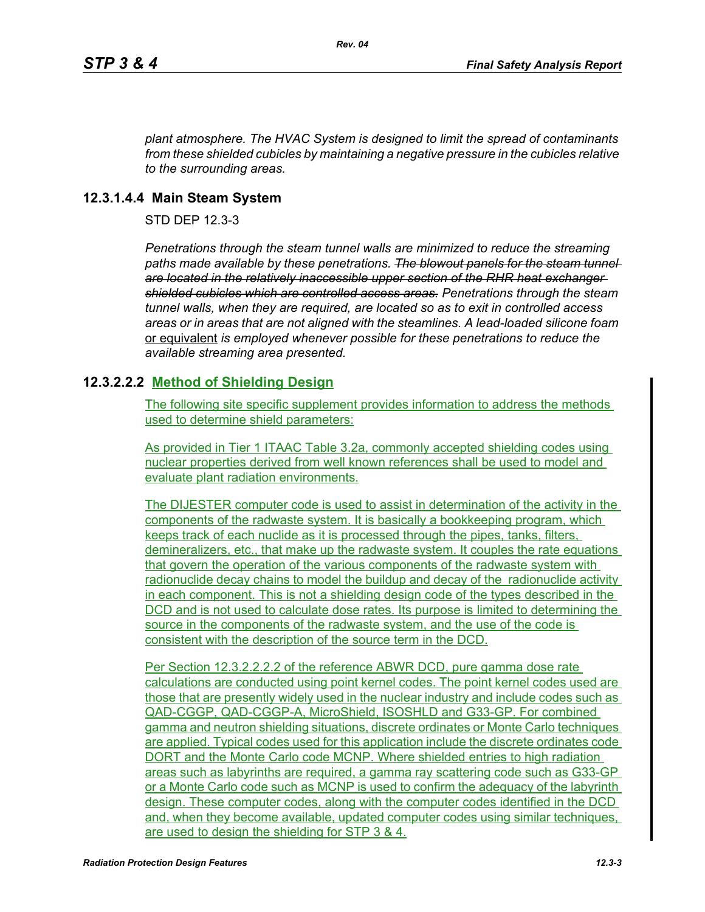*plant atmosphere. The HVAC System is designed to limit the spread of contaminants from these shielded cubicles by maintaining a negative pressure in the cubicles relative to the surrounding areas.*

## **12.3.1.4.4 Main Steam System**

STD DEP 12.3-3

*Penetrations through the steam tunnel walls are minimized to reduce the streaming*  paths made available by these penetrations. The blowout panels for the steam tunnel*are located in the relatively inaccessible upper section of the RHR heat exchanger shielded cubicles which are controlled access areas. Penetrations through the steam tunnel walls, when they are required, are located so as to exit in controlled access areas or in areas that are not aligned with the steamlines. A lead-loaded silicone foam*  or equivalent *is employed whenever possible for these penetrations to reduce the available streaming area presented.*

# **12.3.2.2.2 Method of Shielding Design**

The following site specific supplement provides information to address the methods used to determine shield parameters:

As provided in Tier 1 ITAAC Table 3.2a, commonly accepted shielding codes using nuclear properties derived from well known references shall be used to model and evaluate plant radiation environments.

The DIJESTER computer code is used to assist in determination of the activity in the components of the radwaste system. It is basically a bookkeeping program, which keeps track of each nuclide as it is processed through the pipes, tanks, filters, demineralizers, etc., that make up the radwaste system. It couples the rate equations that govern the operation of the various components of the radwaste system with radionuclide decay chains to model the buildup and decay of the radionuclide activity in each component. This is not a shielding design code of the types described in the DCD and is not used to calculate dose rates. Its purpose is limited to determining the source in the components of the radwaste system, and the use of the code is consistent with the description of the source term in the DCD.

Per Section 12.3.2.2.2.2 of the reference ABWR DCD, pure gamma dose rate calculations are conducted using point kernel codes. The point kernel codes used are those that are presently widely used in the nuclear industry and include codes such as QAD-CGGP, QAD-CGGP-A, MicroShield, ISOSHLD and G33-GP. For combined gamma and neutron shielding situations, discrete ordinates or Monte Carlo techniques are applied. Typical codes used for this application include the discrete ordinates code DORT and the Monte Carlo code MCNP. Where shielded entries to high radiation areas such as labyrinths are required, a gamma ray scattering code such as G33-GP or a Monte Carlo code such as MCNP is used to confirm the adequacy of the labyrinth design. These computer codes, along with the computer codes identified in the DCD and, when they become available, updated computer codes using similar techniques, are used to design the shielding for STP 3 & 4.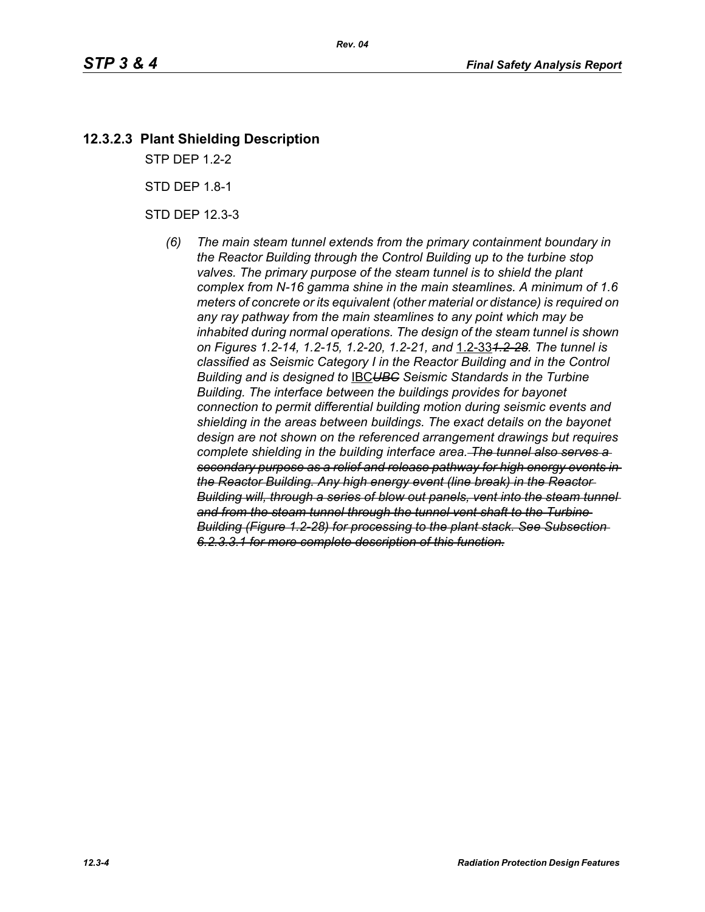# **12.3.2.3 Plant Shielding Description**

STP DEP 1.2-2

STD DEP 1.8-1

STD DEP 12.3-3

*(6) The main steam tunnel extends from the primary containment boundary in the Reactor Building through the Control Building up to the turbine stop*  valves. The primary purpose of the steam tunnel is to shield the plant *complex from N-16 gamma shine in the main steamlines. A minimum of 1.6 meters of concrete or its equivalent (other material or distance) is required on any ray pathway from the main steamlines to any point which may be inhabited during normal operations. The design of the steam tunnel is shown on Figures 1.2-14, 1.2-15, 1.2-20, 1.2-21, and* 1.2-33*1.2-28. The tunnel is classified as Seismic Category I in the Reactor Building and in the Control Building and is designed to* IBC*UBC Seismic Standards in the Turbine Building. The interface between the buildings provides for bayonet connection to permit differential building motion during seismic events and shielding in the areas between buildings. The exact details on the bayonet design are not shown on the referenced arrangement drawings but requires complete shielding in the building interface area. The tunnel also serves a secondary purpose as a relief and release pathway for high energy events in the Reactor Building. Any high energy event (line break) in the Reactor Building will, through a series of blow out panels, vent into the steam tunnel and from the steam tunnel through the tunnel vent shaft to the Turbine Building (Figure 1.2-28) for processing to the plant stack. See Subsection 6.2.3.3.1 for more complete description of this function.*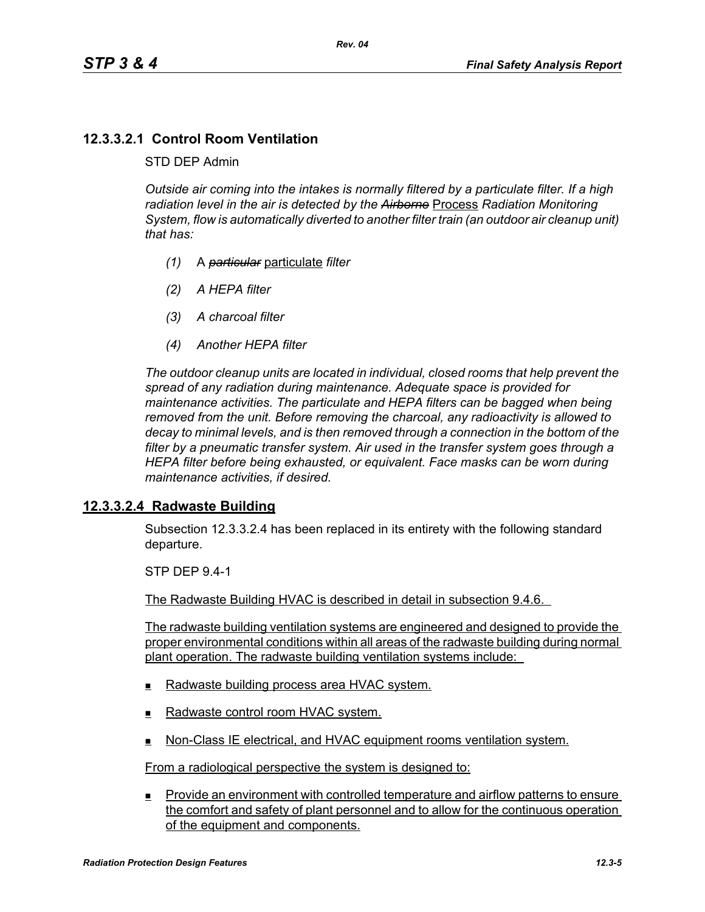# **12.3.3.2.1 Control Room Ventilation**

### STD DEP Admin

*Outside air coming into the intakes is normally filtered by a particulate filter. If a high radiation level in the air is detected by the Airborne* Process *Radiation Monitoring System, flow is automatically diverted to another filter train (an outdoor air cleanup unit) that has:*

- *(1)* A *particular* particulate *filter*
- *(2) A HEPA filter*
- *(3) A charcoal filter*
- *(4) Another HEPA filter*

*The outdoor cleanup units are located in individual, closed rooms that help prevent the spread of any radiation during maintenance. Adequate space is provided for maintenance activities. The particulate and HEPA filters can be bagged when being removed from the unit. Before removing the charcoal, any radioactivity is allowed to decay to minimal levels, and is then removed through a connection in the bottom of the filter by a pneumatic transfer system. Air used in the transfer system goes through a HEPA filter before being exhausted, or equivalent. Face masks can be worn during maintenance activities, if desired.*

## **12.3.3.2.4 Radwaste Building**

Subsection 12.3.3.2.4 has been replaced in its entirety with the following standard departure.

STP DEP 9.4-1

The Radwaste Building HVAC is described in detail in subsection 9.4.6.

The radwaste building ventilation systems are engineered and designed to provide the proper environmental conditions within all areas of the radwaste building during normal plant operation. The radwaste building ventilation systems include:

- Radwaste building process area HVAC system.
- Radwaste control room HVAC system.
- Non-Class IE electrical, and HVAC equipment rooms ventilation system.

From a radiological perspective the system is designed to:

**Provide an environment with controlled temperature and airflow patterns to ensure** the comfort and safety of plant personnel and to allow for the continuous operation of the equipment and components.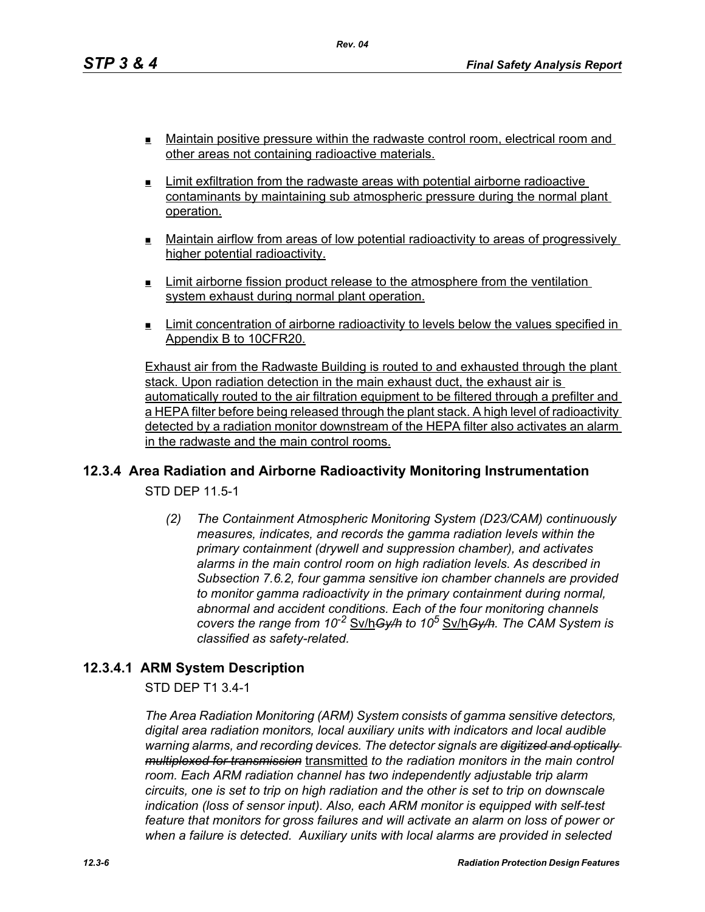**Maintain positive pressure within the radwaste control room, electrical room and** other areas not containing radioactive materials.

*Rev. 04*

- $\blacksquare$  Limit exfiltration from the radwaste areas with potential airborne radioactive contaminants by maintaining sub atmospheric pressure during the normal plant operation.
- Maintain airflow from areas of low potential radioactivity to areas of progressively higher potential radioactivity.
- $\blacksquare$  Limit airborne fission product release to the atmosphere from the ventilation system exhaust during normal plant operation.
- Limit concentration of airborne radioactivity to levels below the values specified in Appendix B to 10CFR20.

Exhaust air from the Radwaste Building is routed to and exhausted through the plant stack. Upon radiation detection in the main exhaust duct, the exhaust air is automatically routed to the air filtration equipment to be filtered through a prefilter and a HEPA filter before being released through the plant stack. A high level of radioactivity detected by a radiation monitor downstream of the HEPA filter also activates an alarm in the radwaste and the main control rooms.

## **12.3.4 Area Radiation and Airborne Radioactivity Monitoring Instrumentation**

STD DEP 11.5-1

*(2) The Containment Atmospheric Monitoring System (D23/CAM) continuously measures, indicates, and records the gamma radiation levels within the primary containment (drywell and suppression chamber), and activates alarms in the main control room on high radiation levels. As described in Subsection 7.6.2, four gamma sensitive ion chamber channels are provided to monitor gamma radioactivity in the primary containment during normal, abnormal and accident conditions. Each of the four monitoring channels covers the range from 10-2* Sv/h*Gy/h to 10<sup>5</sup>* Sv/h*Gy/h. The CAM System is classified as safety-related.*

## **12.3.4.1 ARM System Description**

STD DEP T1 3.4-1

*The Area Radiation Monitoring (ARM) System consists of gamma sensitive detectors, digital area radiation monitors, local auxiliary units with indicators and local audible warning alarms, and recording devices. The detector signals are digitized and optically multiplexed for transmission* transmitted *to the radiation monitors in the main control room. Each ARM radiation channel has two independently adjustable trip alarm circuits, one is set to trip on high radiation and the other is set to trip on downscale indication (loss of sensor input). Also, each ARM monitor is equipped with self-test feature that monitors for gross failures and will activate an alarm on loss of power or when a failure is detected. Auxiliary units with local alarms are provided in selected*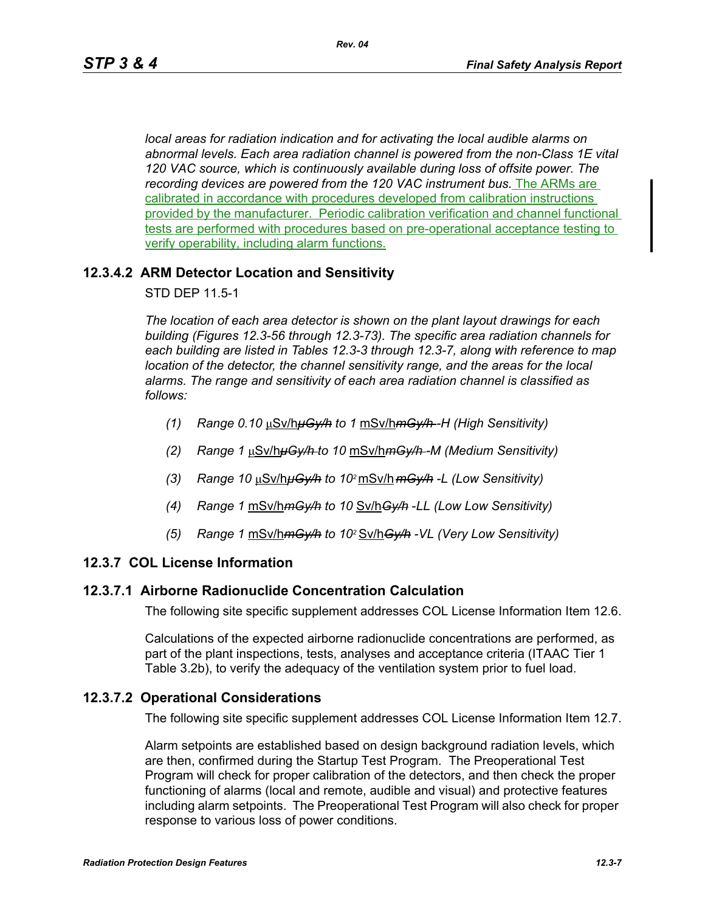*local areas for radiation indication and for activating the local audible alarms on abnormal levels. Each area radiation channel is powered from the non-Class 1E vital 120 VAC source, which is continuously available during loss of offsite power. The recording devices are powered from the 120 VAC instrument bus.* The ARMs are calibrated in accordance with procedures developed from calibration instructions provided by the manufacturer. Periodic calibration verification and channel functional tests are performed with procedures based on pre-operational acceptance testing to verify operability, including alarm functions.

### **12.3.4.2 ARM Detector Location and Sensitivity**

STD DEP 11.5-1

*The location of each area detector is shown on the plant layout drawings for each building (Figures 12.3-56 through 12.3-73). The specific area radiation channels for each building are listed in Tables 12.3-3 through 12.3-7, along with reference to map location of the detector, the channel sensitivity range, and the areas for the local alarms. The range and sensitivity of each area radiation channel is classified as follows:*

- *(1) Range 0.10* μSv/h*μGy/h to 1* mSv/h*mGy/h -H (High Sensitivity)*
- *(2) Range 1* μSv/h*μGy/h to 10* mSv/h*mGy/h -M (Medium Sensitivity)*
- *(3) Range 10* μSv/h*μGy/h to 102* mSv/h *mGy/h -L (Low Sensitivity)*
- *(4) Range 1* mSv/h*mGy/h to 10* Sv/h*Gy/h* -*LL (Low Low Sensitivity)*
- *(5) Range 1* mSv/h*mGy/h to 102* Sv/h*Gy/h -VL (Very Low Sensitivity)*

#### **12.3.7 COL License Information**

#### **12.3.7.1 Airborne Radionuclide Concentration Calculation**

The following site specific supplement addresses COL License Information Item 12.6.

Calculations of the expected airborne radionuclide concentrations are performed, as part of the plant inspections, tests, analyses and acceptance criteria (ITAAC Tier 1 Table 3.2b), to verify the adequacy of the ventilation system prior to fuel load.

## **12.3.7.2 Operational Considerations**

The following site specific supplement addresses COL License Information Item 12.7.

Alarm setpoints are established based on design background radiation levels, which are then, confirmed during the Startup Test Program. The Preoperational Test Program will check for proper calibration of the detectors, and then check the proper functioning of alarms (local and remote, audible and visual) and protective features including alarm setpoints. The Preoperational Test Program will also check for proper response to various loss of power conditions.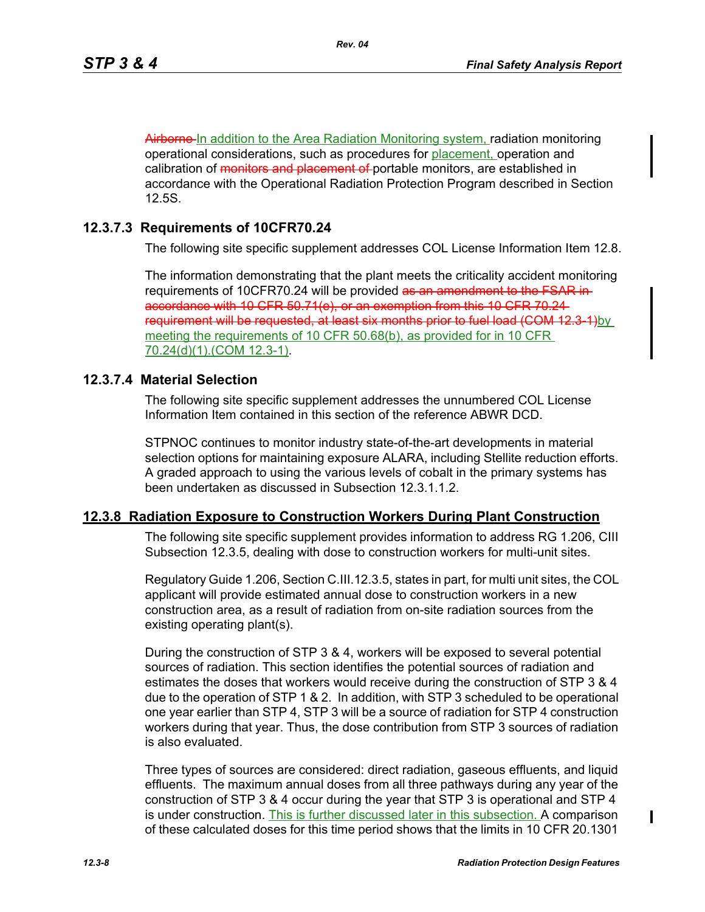Airborne In addition to the Area Radiation Monitoring system, radiation monitoring operational considerations, such as procedures for placement, operation and calibration of monitors and placement of portable monitors, are established in accordance with the Operational Radiation Protection Program described in Section 12.5S.

## **12.3.7.3 Requirements of 10CFR70.24**

The following site specific supplement addresses COL License Information Item 12.8.

The information demonstrating that the plant meets the criticality accident monitoring requirements of 10CFR70.24 will be provided as an amendment to the FSAR inaccordance with 10 CFR 50.71(e), or an exemption from this 10 CFR 70.24 requirement will be requested, at least six months prior to fuel load (COM 12.3-1)by meeting the requirements of 10 CFR 50.68(b), as provided for in 10 CFR 70.24(d)(1).(COM 12.3-1).

## **12.3.7.4 Material Selection**

The following site specific supplement addresses the unnumbered COL License Information Item contained in this section of the reference ABWR DCD.

STPNOC continues to monitor industry state-of-the-art developments in material selection options for maintaining exposure ALARA, including Stellite reduction efforts. A graded approach to using the various levels of cobalt in the primary systems has been undertaken as discussed in Subsection 12.3.1.1.2.

## **12.3.8 Radiation Exposure to Construction Workers During Plant Construction**

The following site specific supplement provides information to address RG 1.206, CIII Subsection 12.3.5, dealing with dose to construction workers for multi-unit sites.

Regulatory Guide 1.206, Section C.III.12.3.5, states in part, for multi unit sites, the COL applicant will provide estimated annual dose to construction workers in a new construction area, as a result of radiation from on-site radiation sources from the existing operating plant(s).

During the construction of STP 3 & 4, workers will be exposed to several potential sources of radiation. This section identifies the potential sources of radiation and estimates the doses that workers would receive during the construction of STP 3 & 4 due to the operation of STP 1 & 2. In addition, with STP 3 scheduled to be operational one year earlier than STP 4, STP 3 will be a source of radiation for STP 4 construction workers during that year. Thus, the dose contribution from STP 3 sources of radiation is also evaluated.

Three types of sources are considered: direct radiation, gaseous effluents, and liquid effluents. The maximum annual doses from all three pathways during any year of the construction of STP 3 & 4 occur during the year that STP 3 is operational and STP 4 is under construction. This is further discussed later in this subsection. A comparison of these calculated doses for this time period shows that the limits in 10 CFR 20.1301

I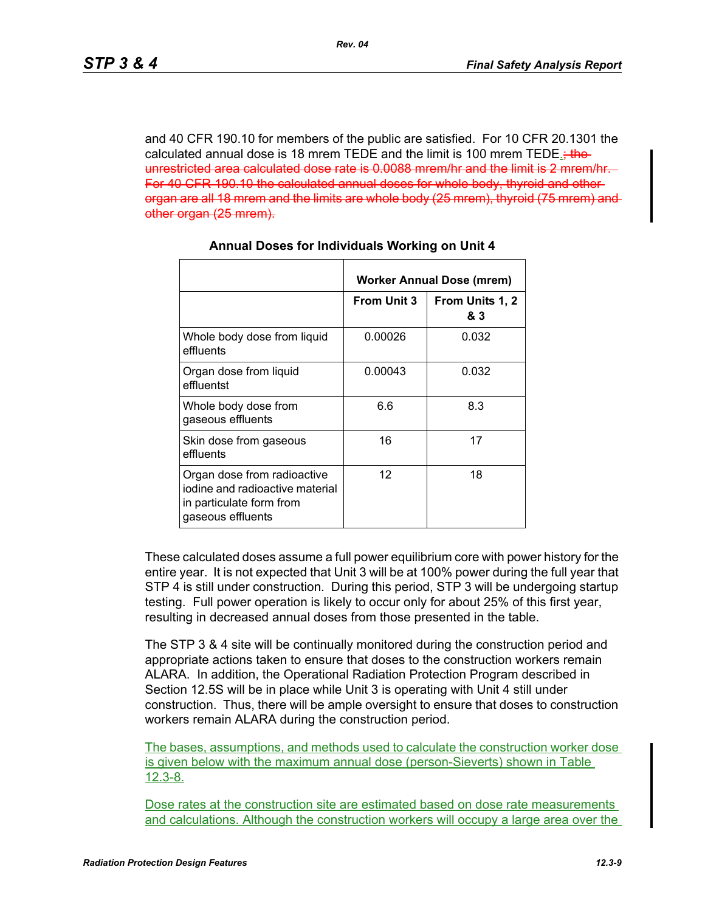and 40 CFR 190.10 for members of the public are satisfied. For 10 CFR 20.1301 the calculated annual dose is 18 mrem TEDE and the limit is 100 mrem TEDE. unrestricted area calculated dose rate is 0.0088 mrem/hr and the limit is 2 mrem/hr. For 40 CFR 190.10 the calculated annual doses for whole body, thyroid and other organ are all 18 mrem and the limits are whole body (25 mrem), thyroid (75 mrem) and other organ (25 mrem).

|                                                                                                                 | <b>Worker Annual Dose (mrem)</b> |                        |  |
|-----------------------------------------------------------------------------------------------------------------|----------------------------------|------------------------|--|
|                                                                                                                 | <b>From Unit 3</b>               | From Units 1, 2<br>& 3 |  |
| Whole body dose from liquid<br>effluents                                                                        | 0.00026                          | 0.032                  |  |
| Organ dose from liquid<br>effluentst                                                                            | 0.00043                          | 0.032                  |  |
| Whole body dose from<br>gaseous effluents                                                                       | 6.6                              | 8.3                    |  |
| Skin dose from gaseous<br>effluents                                                                             | 16                               | 17                     |  |
| Organ dose from radioactive<br>iodine and radioactive material<br>in particulate form from<br>gaseous effluents | 12                               | 18                     |  |

### **Annual Doses for Individuals Working on Unit 4**

These calculated doses assume a full power equilibrium core with power history for the entire year. It is not expected that Unit 3 will be at 100% power during the full year that STP 4 is still under construction. During this period, STP 3 will be undergoing startup testing. Full power operation is likely to occur only for about 25% of this first year, resulting in decreased annual doses from those presented in the table.

The STP 3 & 4 site will be continually monitored during the construction period and appropriate actions taken to ensure that doses to the construction workers remain ALARA. In addition, the Operational Radiation Protection Program described in Section 12.5S will be in place while Unit 3 is operating with Unit 4 still under construction. Thus, there will be ample oversight to ensure that doses to construction workers remain ALARA during the construction period.

The bases, assumptions, and methods used to calculate the construction worker dose is given below with the maximum annual dose (person-Sieverts) shown in Table 12.3-8.

Dose rates at the construction site are estimated based on dose rate measurements and calculations. Although the construction workers will occupy a large area over the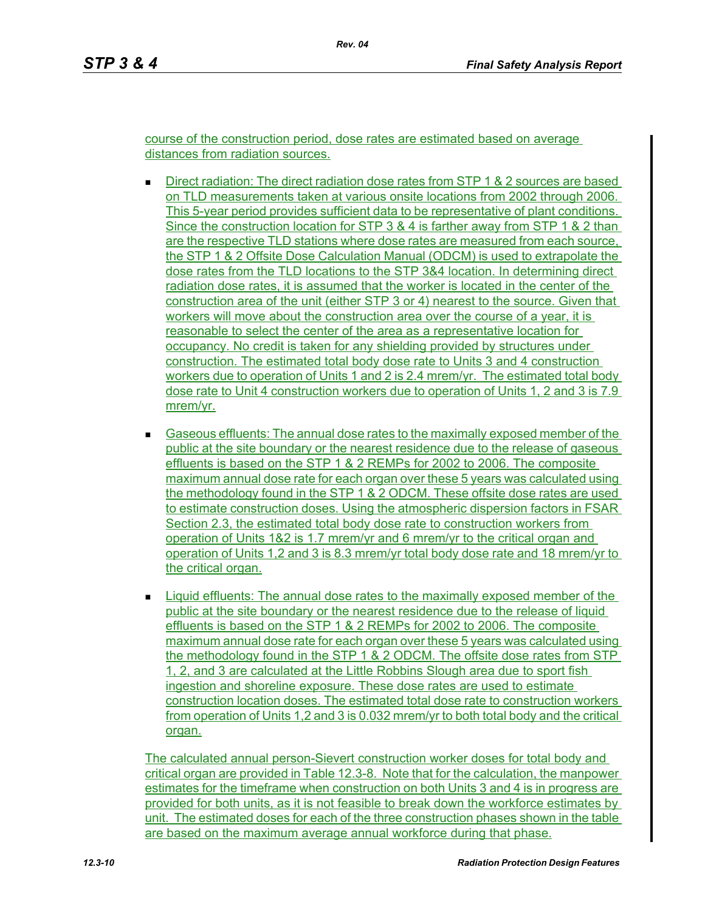course of the construction period, dose rates are estimated based on average distances from radiation sources.

- **Direct radiation: The direct radiation dose rates from STP 1 & 2 sources are based** on TLD measurements taken at various onsite locations from 2002 through 2006. This 5-year period provides sufficient data to be representative of plant conditions. Since the construction location for STP 3 & 4 is farther away from STP 1 & 2 than are the respective TLD stations where dose rates are measured from each source, the STP 1 & 2 Offsite Dose Calculation Manual (ODCM) is used to extrapolate the dose rates from the TLD locations to the STP 3&4 location. In determining direct radiation dose rates, it is assumed that the worker is located in the center of the construction area of the unit (either STP 3 or 4) nearest to the source. Given that workers will move about the construction area over the course of a year, it is reasonable to select the center of the area as a representative location for occupancy. No credit is taken for any shielding provided by structures under construction. The estimated total body dose rate to Units 3 and 4 construction workers due to operation of Units 1 and 2 is 2.4 mrem/yr. The estimated total body dose rate to Unit 4 construction workers due to operation of Units 1, 2 and 3 is 7.9 mrem/yr.
- Gaseous effluents: The annual dose rates to the maximally exposed member of the public at the site boundary or the nearest residence due to the release of gaseous effluents is based on the STP 1 & 2 REMPs for 2002 to 2006. The composite maximum annual dose rate for each organ over these 5 years was calculated using the methodology found in the STP 1 & 2 ODCM. These offsite dose rates are used to estimate construction doses. Using the atmospheric dispersion factors in FSAR Section 2.3, the estimated total body dose rate to construction workers from operation of Units 1&2 is 1.7 mrem/yr and 6 mrem/yr to the critical organ and operation of Units 1,2 and 3 is 8.3 mrem/yr total body dose rate and 18 mrem/yr to the critical organ.
- Liquid effluents: The annual dose rates to the maximally exposed member of the public at the site boundary or the nearest residence due to the release of liquid effluents is based on the STP 1 & 2 REMPs for 2002 to 2006. The composite maximum annual dose rate for each organ over these 5 years was calculated using the methodology found in the STP 1 & 2 ODCM. The offsite dose rates from STP 1, 2, and 3 are calculated at the Little Robbins Slough area due to sport fish ingestion and shoreline exposure. These dose rates are used to estimate construction location doses. The estimated total dose rate to construction workers from operation of Units 1,2 and 3 is 0.032 mrem/yr to both total body and the critical organ.

The calculated annual person-Sievert construction worker doses for total body and critical organ are provided in Table 12.3-8. Note that for the calculation, the manpower estimates for the timeframe when construction on both Units 3 and 4 is in progress are provided for both units, as it is not feasible to break down the workforce estimates by unit. The estimated doses for each of the three construction phases shown in the table are based on the maximum average annual workforce during that phase.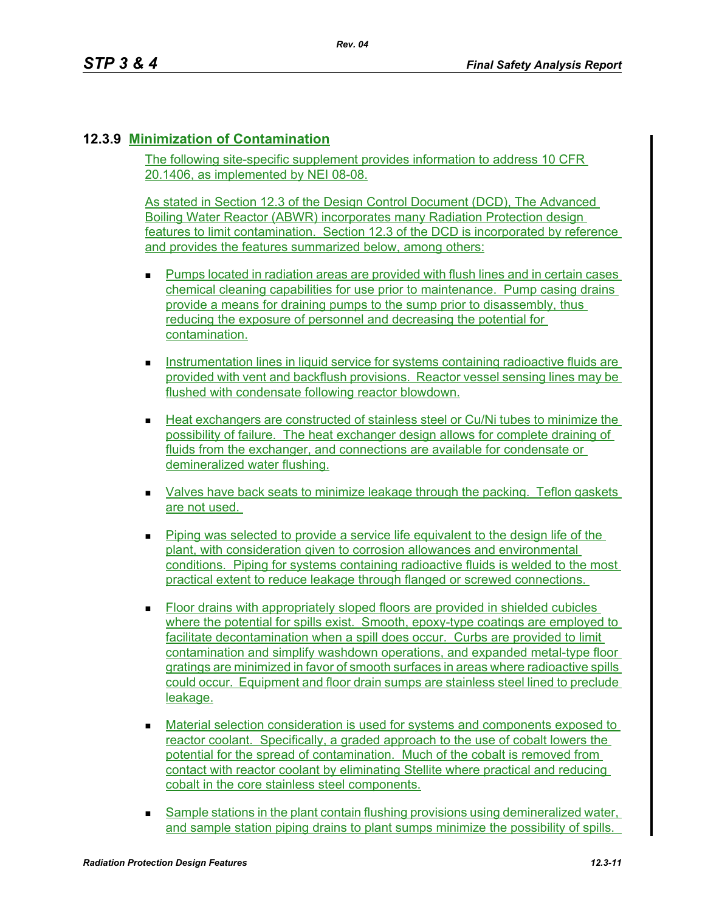# **12.3.9 Minimization of Contamination**

The following site-specific supplement provides information to address 10 CFR 20.1406, as implemented by NEI 08-08.

As stated in Section 12.3 of the Design Control Document (DCD), The Advanced Boiling Water Reactor (ABWR) incorporates many Radiation Protection design features to limit contamination. Section 12.3 of the DCD is incorporated by reference and provides the features summarized below, among others:

- Pumps located in radiation areas are provided with flush lines and in certain cases chemical cleaning capabilities for use prior to maintenance. Pump casing drains provide a means for draining pumps to the sump prior to disassembly, thus reducing the exposure of personnel and decreasing the potential for contamination.
- **Instrumentation lines in liquid service for systems containing radioactive fluids are** provided with vent and backflush provisions. Reactor vessel sensing lines may be flushed with condensate following reactor blowdown.
- Heat exchangers are constructed of stainless steel or Cu/Ni tubes to minimize the possibility of failure. The heat exchanger design allows for complete draining of fluids from the exchanger, and connections are available for condensate or demineralized water flushing.
- Valves have back seats to minimize leakage through the packing. Teflon gaskets are not used.
- $\blacksquare$  Piping was selected to provide a service life equivalent to the design life of the plant, with consideration given to corrosion allowances and environmental conditions. Piping for systems containing radioactive fluids is welded to the most practical extent to reduce leakage through flanged or screwed connections.
- Floor drains with appropriately sloped floors are provided in shielded cubicles where the potential for spills exist. Smooth, epoxy-type coatings are employed to facilitate decontamination when a spill does occur. Curbs are provided to limit contamination and simplify washdown operations, and expanded metal-type floor gratings are minimized in favor of smooth surfaces in areas where radioactive spills could occur. Equipment and floor drain sumps are stainless steel lined to preclude leakage.
- Material selection consideration is used for systems and components exposed to reactor coolant. Specifically, a graded approach to the use of cobalt lowers the potential for the spread of contamination. Much of the cobalt is removed from contact with reactor coolant by eliminating Stellite where practical and reducing cobalt in the core stainless steel components.
- Sample stations in the plant contain flushing provisions using demineralized water, and sample station piping drains to plant sumps minimize the possibility of spills.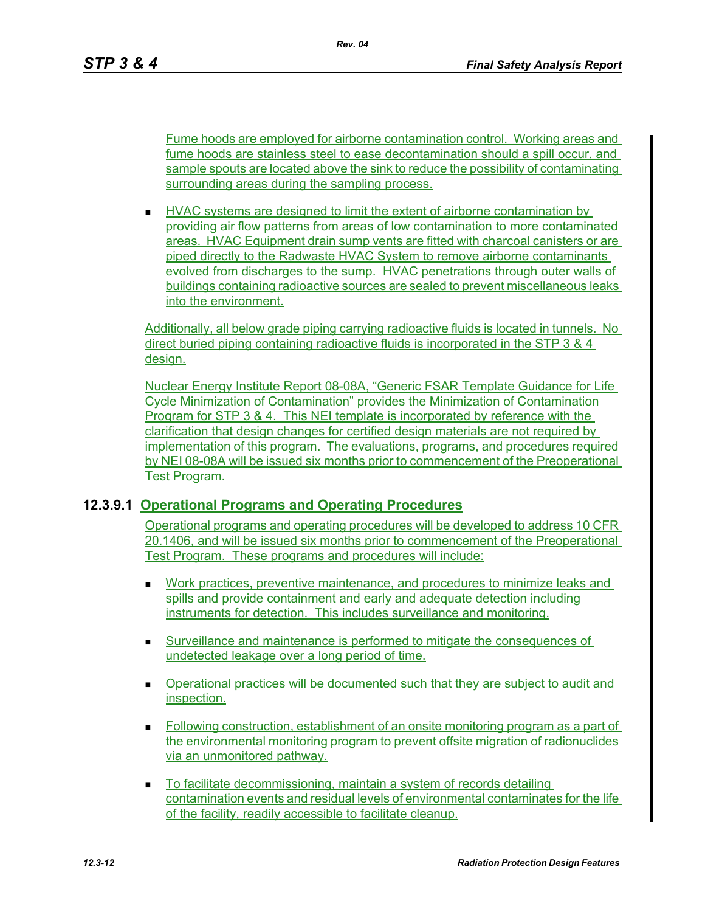Fume hoods are employed for airborne contamination control. Working areas and fume hoods are stainless steel to ease decontamination should a spill occur, and sample spouts are located above the sink to reduce the possibility of contaminating surrounding areas during the sampling process.

**HVAC systems are designed to limit the extent of airborne contamination by** providing air flow patterns from areas of low contamination to more contaminated areas. HVAC Equipment drain sump vents are fitted with charcoal canisters or are piped directly to the Radwaste HVAC System to remove airborne contaminants evolved from discharges to the sump. HVAC penetrations through outer walls of buildings containing radioactive sources are sealed to prevent miscellaneous leaks into the environment.

Additionally, all below grade piping carrying radioactive fluids is located in tunnels. No direct buried piping containing radioactive fluids is incorporated in the STP 3 & 4 design.

Nuclear Energy Institute Report 08-08A, "Generic FSAR Template Guidance for Life Cycle Minimization of Contamination" provides the Minimization of Contamination Program for STP 3 & 4. This NEI template is incorporated by reference with the clarification that design changes for certified design materials are not required by implementation of this program. The evaluations, programs, and procedures required by NEI 08-08A will be issued six months prior to commencement of the Preoperational Test Program.

## **12.3.9.1 Operational Programs and Operating Procedures**

Operational programs and operating procedures will be developed to address 10 CFR 20.1406, and will be issued six months prior to commencement of the Preoperational Test Program. These programs and procedures will include:

- Work practices, preventive maintenance, and procedures to minimize leaks and spills and provide containment and early and adequate detection including instruments for detection. This includes surveillance and monitoring.
- Surveillance and maintenance is performed to mitigate the consequences of undetected leakage over a long period of time.
- Operational practices will be documented such that they are subject to audit and inspection.
- Following construction, establishment of an onsite monitoring program as a part of the environmental monitoring program to prevent offsite migration of radionuclides via an unmonitored pathway.
- To facilitate decommissioning, maintain a system of records detailing contamination events and residual levels of environmental contaminates for the life of the facility, readily accessible to facilitate cleanup.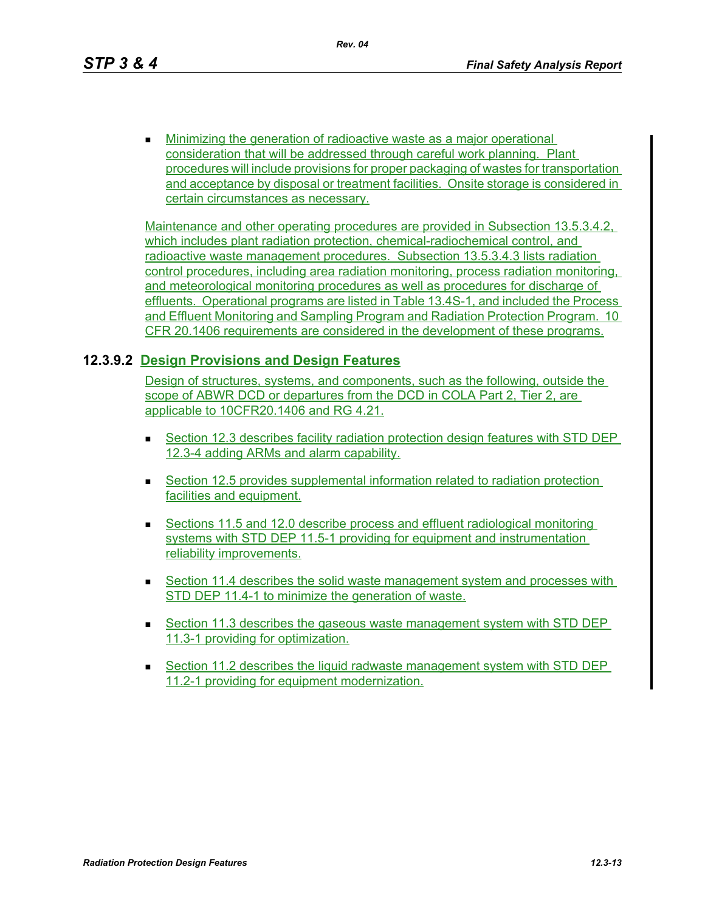**Minimizing the generation of radioactive waste as a major operational** consideration that will be addressed through careful work planning. Plant procedures will include provisions for proper packaging of wastes for transportation and acceptance by disposal or treatment facilities. Onsite storage is considered in certain circumstances as necessary.

Maintenance and other operating procedures are provided in Subsection 13.5.3.4.2, which includes plant radiation protection, chemical-radiochemical control, and radioactive waste management procedures. Subsection 13.5.3.4.3 lists radiation control procedures, including area radiation monitoring, process radiation monitoring, and meteorological monitoring procedures as well as procedures for discharge of effluents. Operational programs are listed in Table 13.4S-1, and included the Process and Effluent Monitoring and Sampling Program and Radiation Protection Program. 10 CFR 20.1406 requirements are considered in the development of these programs.

### **12.3.9.2 Design Provisions and Design Features**

Design of structures, systems, and components, such as the following, outside the scope of ABWR DCD or departures from the DCD in COLA Part 2, Tier 2, are applicable to 10CFR20.1406 and RG 4.21.

- Section 12.3 describes facility radiation protection design features with STD DEP 12.3-4 adding ARMs and alarm capability.
- **Section 12.5 provides supplemental information related to radiation protection** facilities and equipment.
- Sections 11.5 and 12.0 describe process and effluent radiological monitoring systems with STD DEP 11.5-1 providing for equipment and instrumentation reliability improvements.
- **Section 11.4 describes the solid waste management system and processes with** STD DEP 11.4-1 to minimize the generation of waste.
- Section 11.3 describes the gaseous waste management system with STD DEP 11.3-1 providing for optimization.
- Section 11.2 describes the liquid radwaste management system with STD DEP 11.2-1 providing for equipment modernization.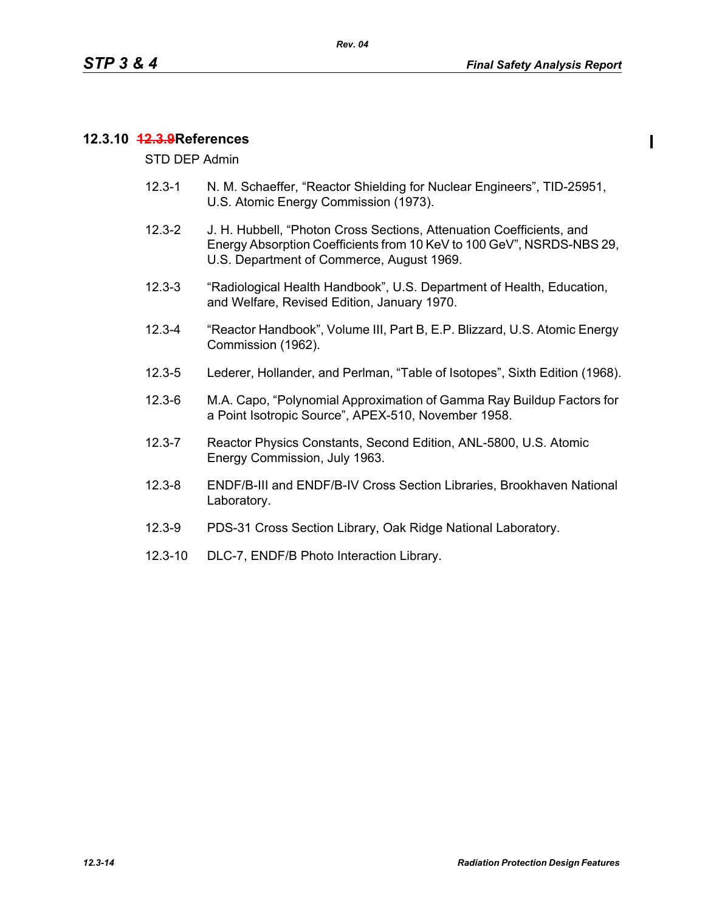### **12.3.10 12.3.9References**

STD DEP Admin

- 12.3-1 N. M. Schaeffer, "Reactor Shielding for Nuclear Engineers", TID-25951, U.S. Atomic Energy Commission (1973).
- 12.3-2 J. H. Hubbell, "Photon Cross Sections, Attenuation Coefficients, and Energy Absorption Coefficients from 10 KeV to 100 GeV", NSRDS-NBS 29, U.S. Department of Commerce, August 1969.
- 12.3-3 "Radiological Health Handbook", U.S. Department of Health, Education, and Welfare, Revised Edition, January 1970.
- 12.3-4 "Reactor Handbook", Volume III, Part B, E.P. Blizzard, U.S. Atomic Energy Commission (1962).
- 12.3-5 Lederer, Hollander, and Perlman, "Table of Isotopes", Sixth Edition (1968).
- 12.3-6 M.A. Capo, "Polynomial Approximation of Gamma Ray Buildup Factors for a Point Isotropic Source", APEX-510, November 1958.
- 12.3-7 Reactor Physics Constants, Second Edition, ANL-5800, U.S. Atomic Energy Commission, July 1963.
- 12.3-8 ENDF/B-III and ENDF/B-IV Cross Section Libraries, Brookhaven National Laboratory.
- 12.3-9 PDS-31 Cross Section Library, Oak Ridge National Laboratory.
- 12.3-10 DLC-7, ENDF/B Photo Interaction Library.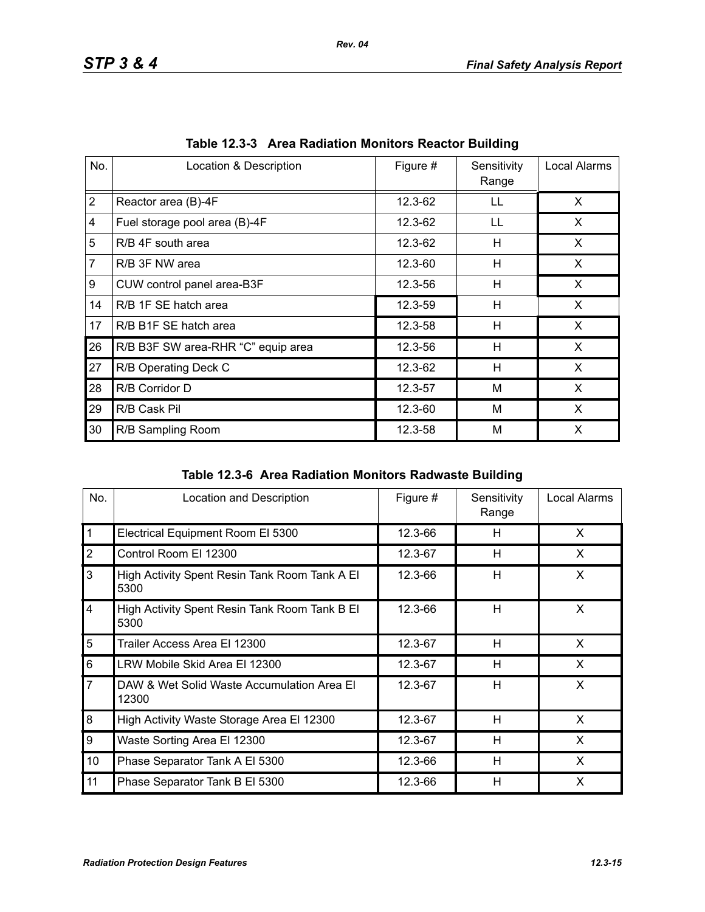| No.            | Location & Description             | Figure # | Sensitivity<br>Range | Local Alarms |
|----------------|------------------------------------|----------|----------------------|--------------|
| $\overline{2}$ | Reactor area (B)-4F                | 12.3-62  | LL                   | X            |
| 4              | Fuel storage pool area (B)-4F      | 12.3-62  | LL                   | X            |
| 5              | R/B 4F south area                  | 12.3-62  | н                    | X.           |
| $\overline{7}$ | R/B 3F NW area                     | 12.3-60  | H                    | X            |
| 9              | CUW control panel area-B3F         | 12.3-56  | H                    | X            |
| 14             | R/B 1F SE hatch area               | 12.3-59  | н                    | X            |
| 17             | R/B B1F SE hatch area              | 12.3-58  | H                    | X            |
| 26             | R/B B3F SW area-RHR "C" equip area | 12.3-56  | н                    | X            |
| 27             | R/B Operating Deck C               | 12.3-62  | н                    | X            |
| 28             | R/B Corridor D                     | 12.3-57  | M                    | X            |
| 29             | R/B Cask Pil                       | 12.3-60  | M                    | X            |
| 30             | R/B Sampling Room                  | 12.3-58  | M                    | X            |

|  | Table 12.3-3 Area Radiation Monitors Reactor Building |  |  |  |
|--|-------------------------------------------------------|--|--|--|
|--|-------------------------------------------------------|--|--|--|

| Table 12.3-6 Area Radiation Monitors Radwaste Building |
|--------------------------------------------------------|
|                                                        |

| No.                     | Location and Description                              | Figure # | Sensitivity<br>Range | Local Alarms |
|-------------------------|-------------------------------------------------------|----------|----------------------|--------------|
| $\mathbf{1}$            | Electrical Equipment Room El 5300                     | 12.3-66  | H                    | X            |
| $\overline{2}$          | Control Room El 12300                                 | 12.3-67  | H                    | X            |
| 3                       | High Activity Spent Resin Tank Room Tank A El<br>5300 | 12.3-66  | H                    | X            |
| $\overline{\mathbf{4}}$ | High Activity Spent Resin Tank Room Tank B El<br>5300 | 12.3-66  | H                    | X            |
| 5                       | Trailer Access Area El 12300                          | 12.3-67  | H                    | X            |
| 6                       | LRW Mobile Skid Area El 12300                         | 12.3-67  | H                    | X            |
| $\overline{7}$          | DAW & Wet Solid Waste Accumulation Area El<br>12300   | 12.3-67  | H                    | X            |
| 8                       | High Activity Waste Storage Area El 12300             | 12.3-67  | H                    | X            |
| 9                       | Waste Sorting Area El 12300                           | 12.3-67  | H                    | X            |
| 10                      | Phase Separator Tank A El 5300                        | 12.3-66  | H                    | X            |
| 11                      | Phase Separator Tank B El 5300                        | 12.3-66  | H                    | X            |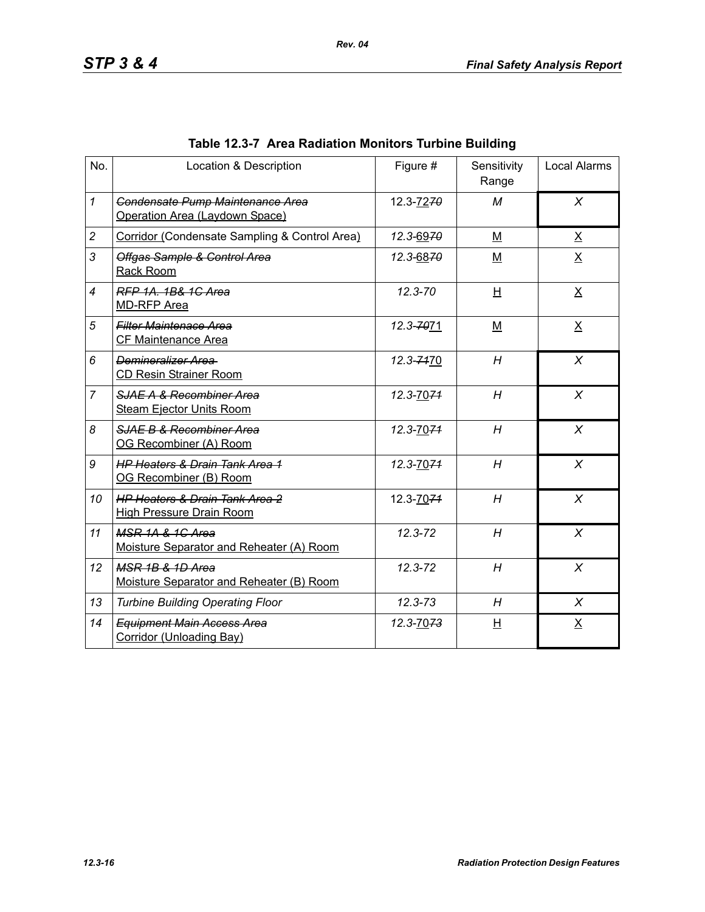| No.            | Location & Description                                                       | Figure #    | Sensitivity<br>Range | <b>Local Alarms</b> |
|----------------|------------------------------------------------------------------------------|-------------|----------------------|---------------------|
| $\mathcal I$   | Condensate Pump Maintenance Area<br>Operation Area (Laydown Space)           | 12.3-7270   | M                    | $\chi$              |
| $\overline{c}$ | Corridor (Condensate Sampling & Control Area)                                | 12.3-6970   | M                    | $\underline{X}$     |
| 3              | Offgas Sample & Control Area<br>Rack Room                                    | 12.3-6870   | M                    | $\underline{X}$     |
| $\overline{4}$ | RFP 1A, 1B& 1C Area<br><b>MD-RFP Area</b>                                    | $12.3 - 70$ | H                    | $\underline{X}$     |
| 5              | <b>Filter Maintenace Area</b><br>CF Maintenance Area                         | 12.3-7071   | $M$                  | $\underline{X}$     |
| 6              | Demineralizer Area<br><b>CD Resin Strainer Room</b>                          | 12.3-7470   | H                    | $\chi$              |
| $\overline{7}$ | SJAE A & Recombiner Area<br><b>Steam Ejector Units Room</b>                  | 12.3-7074   | H                    | $\chi$              |
| 8              | SJAE B & Recombiner Area<br>OG Recombiner (A) Room                           | 12.3-7074   | H                    | $\chi$              |
| 9              | <b>HP Heaters &amp; Drain Tank Area 1</b><br>OG Recombiner (B) Room          | 12.3-7074   | H                    | $\chi$              |
| 10             | <b>HP Heaters &amp; Drain Tank Area 2</b><br><b>High Pressure Drain Room</b> | 12.3-7074   | H                    | $\chi$              |
| 11             | MSR 1A & 1G Area<br>Moisture Separator and Reheater (A) Room                 | $12.3 - 72$ | H                    | X                   |
| 12             | MSR 1B & 1D Area<br>Moisture Separator and Reheater (B) Room                 | 12.3-72     | H                    | X                   |
| 13             | <b>Turbine Building Operating Floor</b>                                      | $12.3 - 73$ | H                    | X                   |
| 14             | <b>Equipment Main Access Area</b><br>Corridor (Unloading Bay)                | 12.3-7073   | 旦                    | $\underline{X}$     |

# **Table 12.3-7 Area Radiation Monitors Turbine Building**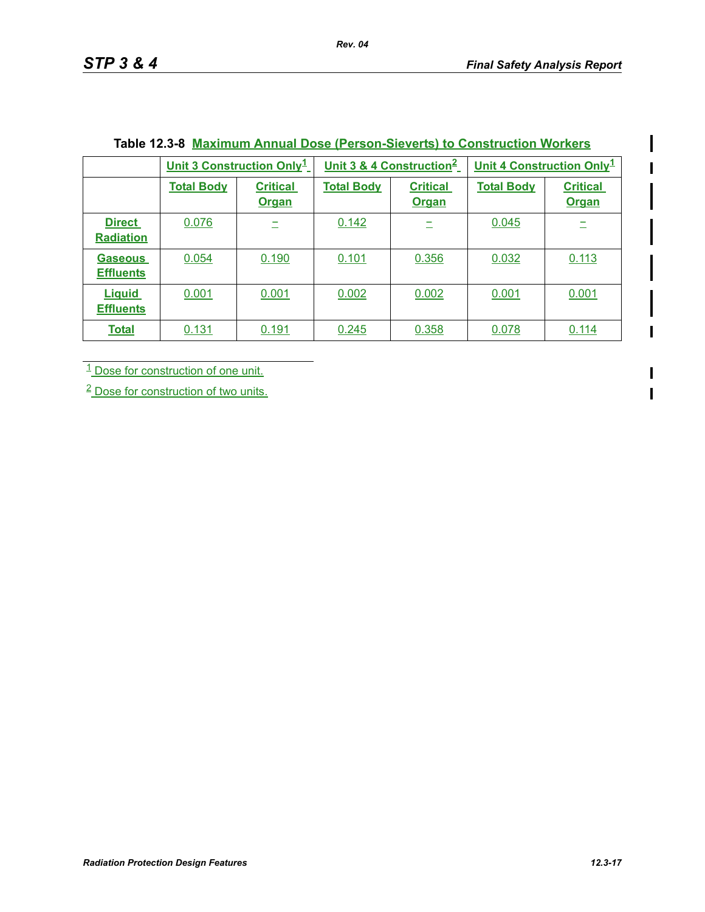ı

I

|                                    | Unit 3 Construction Only <sup>1</sup> |                                 |                   | Unit 3 & 4 Construction <sup>2</sup> | Unit 4 Construction Only <sup>1</sup> |                                 |
|------------------------------------|---------------------------------------|---------------------------------|-------------------|--------------------------------------|---------------------------------------|---------------------------------|
|                                    | <b>Total Body</b>                     | <b>Critical</b><br><b>Organ</b> | <b>Total Body</b> | <b>Critical</b><br><b>Organ</b>      | <b>Total Body</b>                     | <b>Critical</b><br><b>Organ</b> |
| <b>Direct</b><br><b>Radiation</b>  | 0.076                                 |                                 | 0.142             |                                      | 0.045                                 |                                 |
| <b>Gaseous</b><br><b>Effluents</b> | 0.054                                 | 0.190                           | 0.101             | 0.356                                | 0.032                                 | 0.113                           |
| <b>Liguid</b><br><b>Effluents</b>  | 0.001                                 | 0.001                           | 0.002             | 0.002                                | 0.001                                 | 0.001                           |
| <b>Total</b>                       | 0.131                                 | 0.191                           | 0.245             | 0.358                                | 0.078                                 | 0.114                           |

### **Table 12.3-8 Maximum Annual Dose (Person-Sieverts) to Construction Workers**

1 Dose for construction of one unit.

<sup>2</sup> Dose for construction of two units.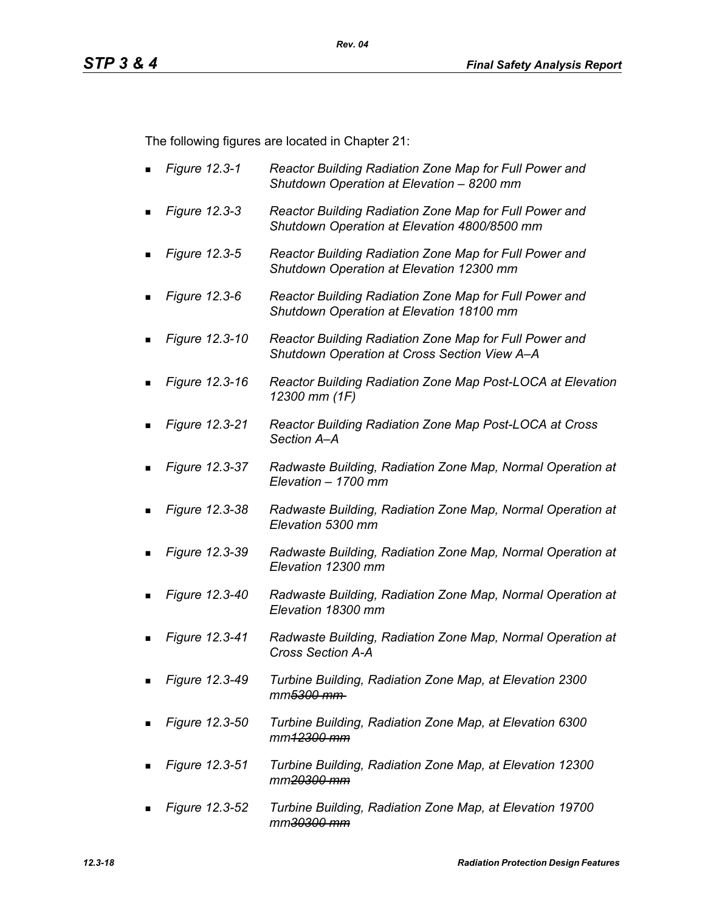The following figures are located in Chapter 21:

- *Figure 12.3-1 Reactor Building Radiation Zone Map for Full Power and Shutdown Operation at Elevation – 8200 mm*
- *Figure 12.3-3 Reactor Building Radiation Zone Map for Full Power and Shutdown Operation at Elevation 4800/8500 mm*
- *Figure 12.3-5 Reactor Building Radiation Zone Map for Full Power and Shutdown Operation at Elevation 12300 mm*
- *Figure 12.3-6 Reactor Building Radiation Zone Map for Full Power and Shutdown Operation at Elevation 18100 mm*
- *Figure 12.3-10 Reactor Building Radiation Zone Map for Full Power and Shutdown Operation at Cross Section View A–A*
- *Figure 12.3-16 Reactor Building Radiation Zone Map Post-LOCA at Elevation 12300 mm (1F)*
- *Figure 12.3-21 Reactor Building Radiation Zone Map Post-LOCA at Cross Section A–A*
- *Figure 12.3-37 Radwaste Building, Radiation Zone Map, Normal Operation at Elevation – 1700 mm*
- *Figure 12.3-38 Radwaste Building, Radiation Zone Map, Normal Operation at Elevation 5300 mm*
- *Figure 12.3-39 Radwaste Building, Radiation Zone Map, Normal Operation at Elevation 12300 mm*
- *Figure 12.3-40 Radwaste Building, Radiation Zone Map, Normal Operation at Elevation 18300 mm*
- *Figure 12.3-41 Radwaste Building, Radiation Zone Map, Normal Operation at Cross Section A-A*
- *Figure 12.3-49 Turbine Building, Radiation Zone Map, at Elevation 2300 mm5300 mm*
- *Figure 12.3-50 Turbine Building, Radiation Zone Map, at Elevation 6300 mm12300 mm*
- *Figure 12.3-51 Turbine Building, Radiation Zone Map, at Elevation 12300 mm20300 mm*
- *Figure 12.3-52 Turbine Building, Radiation Zone Map, at Elevation 19700 mm30300 mm*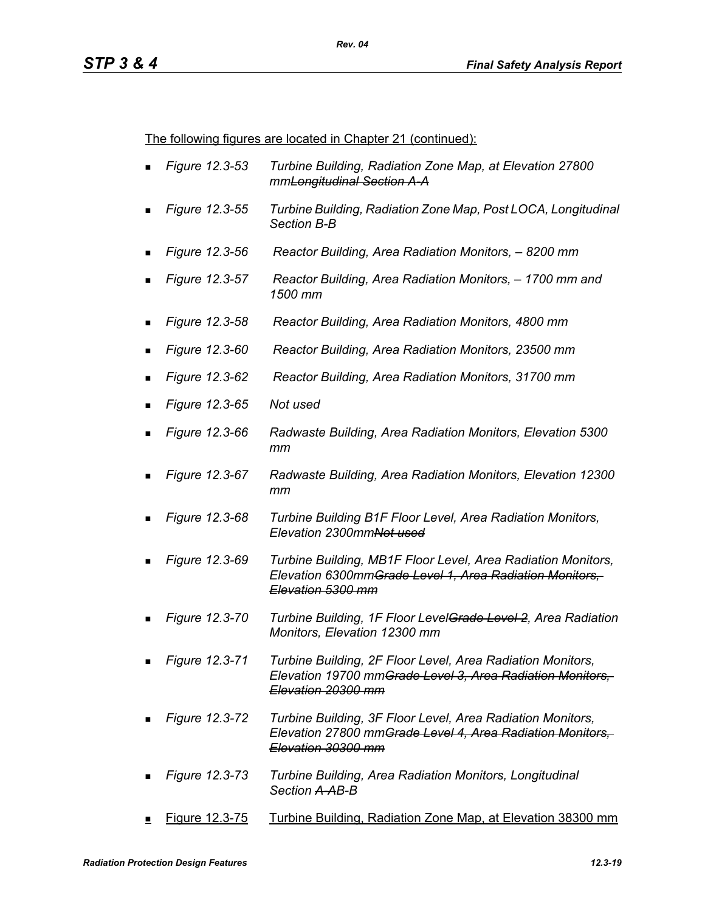The following figures are located in Chapter 21 (continued):

- *Figure 12.3-53 Turbine Building, Radiation Zone Map, at Elevation 27800 mmLongitudinal Section A-A*
- *Figure 12.3-55 Turbine Building, Radiation Zone Map, Post LOCA, Longitudinal Section B-B*
- *Figure 12.3-56 Reactor Building, Area Radiation Monitors, 8200 mm*
- *Figure 12.3-57 Reactor Building, Area Radiation Monitors, 1700 mm and 1500 mm*
- *Figure 12.3-58 Reactor Building, Area Radiation Monitors, 4800 mm*
- *Figure 12.3-60 Reactor Building, Area Radiation Monitors, 23500 mm*
- *Figure 12.3-62 Reactor Building, Area Radiation Monitors, 31700 mm*
- *Figure 12.3-65 Not used*
- *Figure 12.3-66 Radwaste Building, Area Radiation Monitors, Elevation 5300 mm*
- *Figure 12.3-67 Radwaste Building, Area Radiation Monitors, Elevation 12300 mm*
- *Figure 12.3-68 Turbine Building B1F Floor Level, Area Radiation Monitors, Elevation 2300mmNot used*
- *Figure 12.3-69 Turbine Building, MB1F Floor Level, Area Radiation Monitors, Elevation 6300mmGrade Level 1, Area Radiation Monitors, Elevation 5300 mm*
- *Figure 12.3-70 Turbine Building, 1F Floor LevelGrade Level 2, Area Radiation Monitors, Elevation 12300 mm*
- *Figure 12.3-71 Turbine Building, 2F Floor Level, Area Radiation Monitors, Elevation 19700 mmGrade Level 3, Area Radiation Monitors, Elevation 20300 mm*
- *Figure 12.3-72 Turbine Building, 3F Floor Level, Area Radiation Monitors, Elevation 27800 mmGrade Level 4, Area Radiation Monitors, Elevation 30300 mm*
- *Figure 12.3-73 Turbine Building, Area Radiation Monitors, Longitudinal Section A-AB-B*
- Figure 12.3-75 Turbine Building, Radiation Zone Map, at Elevation 38300 mm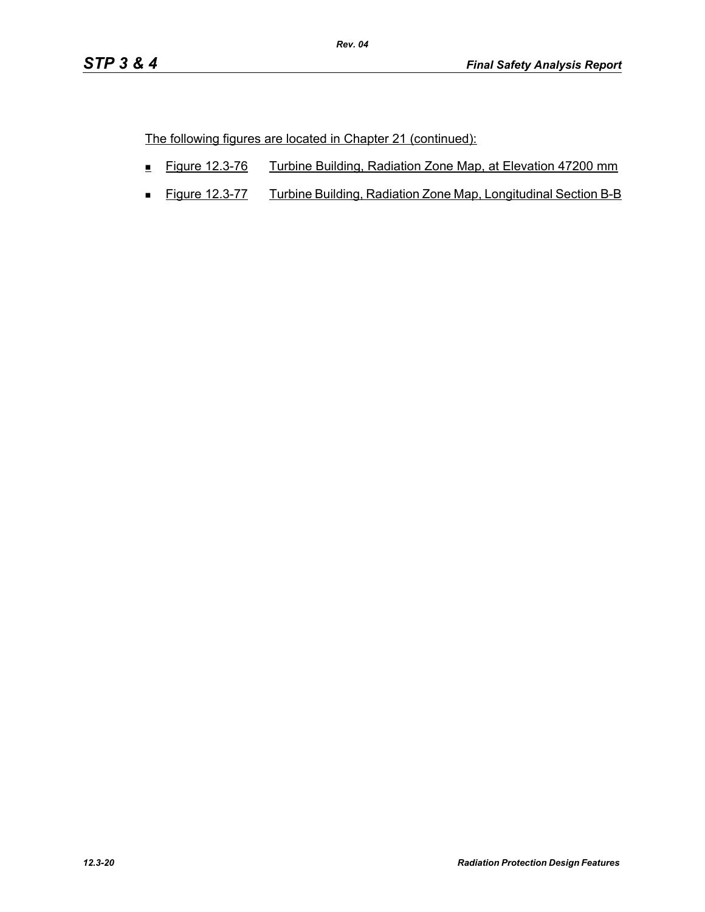The following figures are located in Chapter 21 (continued):

- Figure 12.3-76 Turbine Building, Radiation Zone Map, at Elevation 47200 mm
- **Figure 12.3-77** Turbine Building, Radiation Zone Map, Longitudinal Section B-B